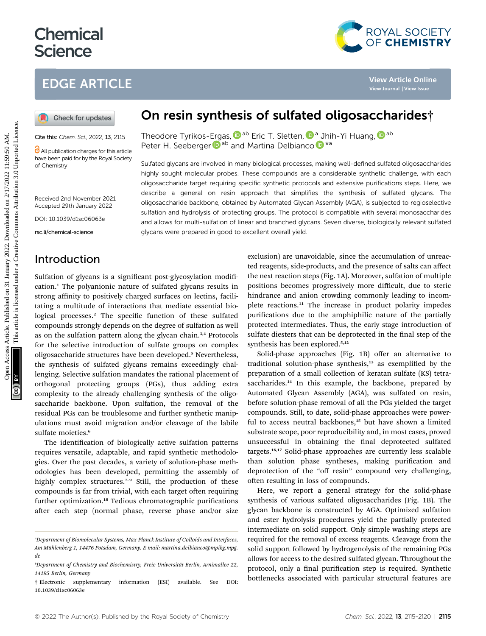# **Chemical Science**

## EDGE ARTICLE



Cite this: Chem. Sci., 2022, 13, 2115

All publication charges for this article have been paid for by the Royal Society of Chemistry

Received 2nd November 2021 Accepted 29th January 2022

DOI: 10.1039/d1sc06063e

rsc.li/chemical-science

#### Introduction

Sulfation of glycans is a significant post-glycosylation modification.<sup>1</sup> The polyanionic nature of sulfated glycans results in strong affinity to positively charged surfaces on lectins, facilitating a multitude of interactions that mediate essential biological processes.<sup>2</sup> The specific function of these sulfated compounds strongly depends on the degree of sulfation as well as on the sulfation pattern along the glycan chain.<sup>3,4</sup> Protocols for the selective introduction of sulfate groups on complex oligosaccharide structures have been developed.<sup>5</sup> Nevertheless, the synthesis of sulfated glycans remains exceedingly challenging. Selective sulfation mandates the rational placement of orthogonal protecting groups (PGs), thus adding extra complexity to the already challenging synthesis of the oligosaccharide backbone. Upon sulfation, the removal of the residual PGs can be troublesome and further synthetic manipulations must avoid migration and/or cleavage of the labile sulfate moieties.<sup>6</sup>

The identification of biologically active sulfation patterns requires versatile, adaptable, and rapid synthetic methodologies. Over the past decades, a variety of solution-phase methodologies has been developed, permitting the assembly of highly complex structures.<sup>7-9</sup> Still, the production of these compounds is far from trivial, with each target often requiring further optimization.<sup>10</sup> Tedious chromatographic purifications after each step (normal phase, reverse phase and/or size

## On resin synthesis of sulfated oligosaccharides†

Theodore Tyrikos-[Erg](http://orcid.org/0000-0003-3394-8466)as[,](http://orcid.org/0000-0002-3052-8514) D<sup>ab</sup> Eric T. Sletten, D<sup>a</sup> Jhih-Yi Huang, D<sup>ab</sup> Peter H. Seeberger **D**<sup>ab</sup> and Martina Delbianc[o](http://orcid.org/0000-0002-4580-9597) **D**<sup>\*a</sup>

Sulfated glycans are involved in many biological processes, making well-defined sulfated oligosaccharides highly sought molecular probes. These compounds are a considerable synthetic challenge, with each oligosaccharide target requiring specific synthetic protocols and extensive purifications steps. Here, we describe a general on resin approach that simplifies the synthesis of sulfated glycans. The oligosaccharide backbone, obtained by Automated Glycan Assembly (AGA), is subjected to regioselective sulfation and hydrolysis of protecting groups. The protocol is compatible with several monosaccharides and allows for multi-sulfation of linear and branched glycans. Seven diverse, biologically relevant sulfated glycans were prepared in good to excellent overall yield. **EDGE ARTICLE**<br> **CO** Check for updates<br> **CO** Check for updates<br> **CO** Check for updates<br> **CO** Check for the section in The store Tyrkles-Ergas,  $\mathbf{Q}^{\text{av}}$  beinc T. Slettern,  $\mathbf{Q}^{\text{av}}$  July 1915 Harmon and the sect

exclusion) are unavoidable, since the accumulation of unreacted reagents, side-products, and the presence of salts can affect the next reaction steps (Fig. 1A). Moreover, sulfation of multiple positions becomes progressively more difficult, due to steric hindrance and anion crowding commonly leading to incomplete reactions.<sup>11</sup> The increase in product polarity impedes purifications due to the amphiphilic nature of the partially protected intermediates. Thus, the early stage introduction of sulfate diesters that can be deprotected in the final step of the synthesis has been explored.<sup>5,12</sup>

Solid-phase approaches (Fig. 1B) offer an alternative to traditional solution-phase synthesis, $13$  as exemplified by the preparation of a small collection of keratan sulfate (KS) tetrasaccharides.<sup>14</sup> In this example, the backbone, prepared by Automated Glycan Assembly (AGA), was sulfated on resin, before solution-phase removal of all the PGs yielded the target compounds. Still, to date, solid-phase approaches were powerful to access neutral backbones,<sup>15</sup> but have shown a limited substrate scope, poor reproducibility and, in most cases, proved unsuccessful in obtaining the final deprotected sulfated targets.16,17 Solid-phase approaches are currently less scalable than solution phase syntheses, making purification and deprotection of the "off resin" compound very challenging, often resulting in loss of compounds.

Here, we report a general strategy for the solid-phase synthesis of various sulfated oligosaccharides (Fig. 1B). The glycan backbone is constructed by AGA. Optimized sulfation and ester hydrolysis procedures yield the partially protected intermediate on solid support. Only simple washing steps are required for the removal of excess reagents. Cleavage from the solid support followed by hydrogenolysis of the remaining PGs allows for access to the desired sulfated glycan. Throughout the protocol, only a final purification step is required. Synthetic bottlenecks associated with particular structural features are

a Department of Biomolecular Systems, Max-Planck Institute of Colloids and Interfaces, Am Mühlenberg 1, 14476 Potsdam, Germany. E-mail: martina.delbianco@mpikg.mpg. de

<sup>&</sup>lt;sup>b</sup>Department of Chemistry and Biochemistry, Freie Universität Berlin, Arnimallee 22, 14195 Berlin, Germany

<sup>†</sup> Electronic supplementary information (ESI) available. See DOI: 10.1039/d1sc06063e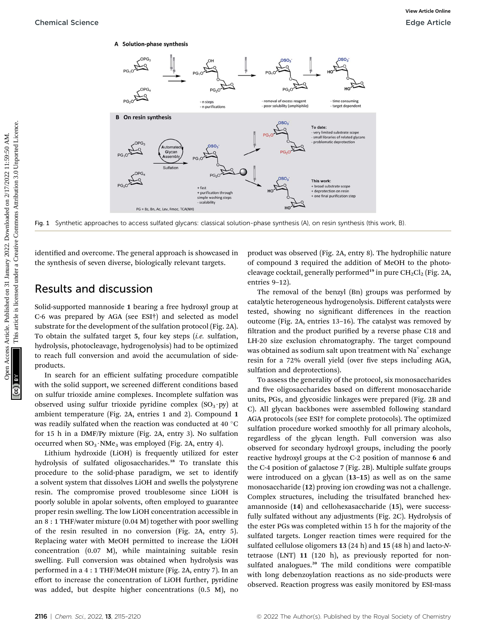

Fig. 1 Synthetic approaches to access sulfated glycans: classical solution-phase synthesis (A), on resin synthesis (this work, B).

identified and overcome. The general approach is showcased in the synthesis of seven diverse, biologically relevant targets.

#### Results and discussion

Solid-supported mannoside 1 bearing a free hydroxyl group at C-6 was prepared by AGA (see ESI†) and selected as model substrate for the development of the sulfation protocol (Fig. 2A). To obtain the sulfated target 5, four key steps (i.e. sulfation, hydrolysis, photocleavage, hydrogenolysis) had to be optimized to reach full conversion and avoid the accumulation of sideproducts.

In search for an efficient sulfating procedure compatible with the solid support, we screened different conditions based on sulfur trioxide amine complexes. Incomplete sulfation was observed using sulfur trioxide pyridine complex  $(SO_3 \cdot py)$  at ambient temperature (Fig. 2A, entries 1 and 2). Compound 1 was readily sulfated when the reaction was conducted at 40 °C for 15 h in a DMF/Py mixture (Fig. 2A, entry 3). No sulfation occurred when  $SO_3 \cdot NMe_3$  was employed (Fig. 2A, entry 4).

Lithium hydroxide (LiOH) is frequently utilized for ester hydrolysis of sulfated oligosaccharides.<sup>18</sup> To translate this procedure to the solid-phase paradigm, we set to identify a solvent system that dissolves LiOH and swells the polystyrene resin. The compromise proved troublesome since LiOH is poorly soluble in apolar solvents, often employed to guarantee proper resin swelling. The low LiOH concentration accessible in an 8 : 1 THF/water mixture (0.04 M) together with poor swelling of the resin resulted in no conversion (Fig. 2A, entry 5). Replacing water with MeOH permitted to increase the LiOH concentration (0.07 M), while maintaining suitable resin swelling. Full conversion was obtained when hydrolysis was performed in a 4 : 1 THF/MeOH mixture (Fig. 2A, entry 7). In an effort to increase the concentration of LiOH further, pyridine was added, but despite higher concentrations (0.5 M), no

product was observed (Fig. 2A, entry 8). The hydrophilic nature of compound 3 required the addition of MeOH to the photocleavage cocktail, generally performed<sup>19</sup> in pure  $CH_2Cl_2$  (Fig. 2A, entries 9–12).

The removal of the benzyl (Bn) groups was performed by catalytic heterogeneous hydrogenolysis. Different catalysts were tested, showing no signicant differences in the reaction outcome (Fig. 2A, entries 13–16). The catalyst was removed by filtration and the product purified by a reverse phase C18 and LH-20 size exclusion chromatography. The target compound was obtained as sodium salt upon treatment with  $Na<sup>+</sup>$  exchange resin for a 72% overall yield (over five steps including AGA, sulfation and deprotections).

To assess the generality of the protocol, six monosaccharides and five oligosaccharides based on different monosaccharide units, PGs, and glycosidic linkages were prepared (Fig. 2B and C). All glycan backbones were assembled following standard AGA protocols (see ESI† for complete protocols). The optimized sulfation procedure worked smoothly for all primary alcohols, regardless of the glycan length. Full conversion was also observed for secondary hydroxyl groups, including the poorly reactive hydroxyl groups at the C-2 position of mannose 6 and the C-4 position of galactose 7 (Fig. 2B). Multiple sulfate groups were introduced on a glycan (13–15) as well as on the same monosaccharide (12) proving ion crowding was not a challenge. Complex structures, including the trisulfated branched hexamannoside (14) and cellohexasaccharide (15), were successfully sulfated without any adjustments (Fig. 2C). Hydrolysis of the ester PGs was completed within 15 h for the majority of the sulfated targets. Longer reaction times were required for the sulfated cellulose oligomers 13 (24 h) and 15 (48 h) and lacto-Ntetraose (LNT) 11 (120 h), as previously reported for nonsulfated analogues.<sup>20</sup> The mild conditions were compatible with long debenzoylation reactions as no side-products were observed. Reaction progress was easily monitored by ESI-mass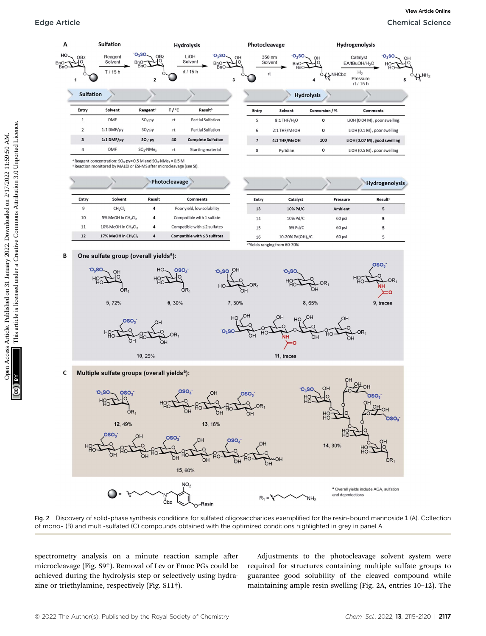

Fig. 2 Discovery of solid-phase synthesis conditions for sulfated oligosaccharides exemplified for the resin-bound mannoside 1 (A). Collection of mono- (B) and multi-sulfated (C) compounds obtained with the optimized conditions highlighted in grey in panel A.

spectrometry analysis on a minute reaction sample after microcleavage (Fig. S9†). Removal of Lev or Fmoc PGs could be achieved during the hydrolysis step or selectively using hydrazine or triethylamine, respectively (Fig. S11†).

Adjustments to the photocleavage solvent system were required for structures containing multiple sulfate groups to guarantee good solubility of the cleaved compound while maintaining ample resin swelling (Fig. 2A, entries 10–12). The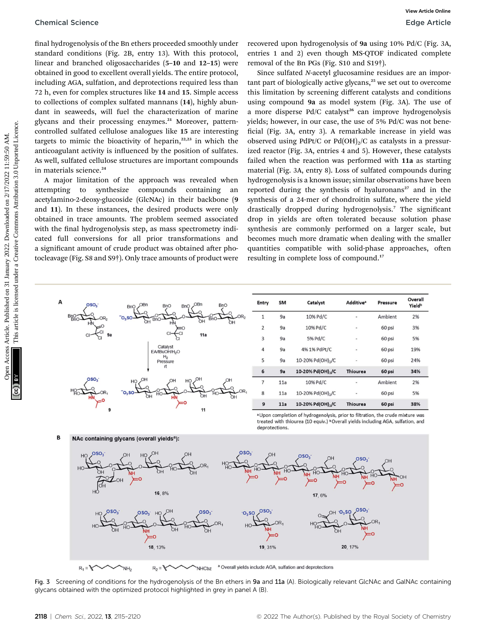final hydrogenolysis of the Bn ethers proceeded smoothly under standard conditions (Fig. 2B, entry 13). With this protocol, linear and branched oligosaccharides (5–10 and 12–15) were obtained in good to excellent overall yields. The entire protocol, including AGA, sulfation, and deprotections required less than 72 h, even for complex structures like 14 and 15. Simple access to collections of complex sulfated mannans (14), highly abundant in seaweeds, will fuel the characterization of marine glycans and their processing enzymes.<sup>21</sup> Moreover, patterncontrolled sulfated cellulose analogues like 15 are interesting targets to mimic the bioactivity of heparin, $2^{2,23}$  in which the anticoagulant activity is influenced by the position of sulfates. As well, sulfated cellulose structures are important compounds in materials science.<sup>24</sup>

A major limitation of the approach was revealed when attempting to synthesize compounds containing an acetylamino-2-deoxy-glucoside (GlcNAc) in their backbone (9 and 11). In these instances, the desired products were only obtained in trace amounts. The problem seemed associated with the final hydrogenolysis step, as mass spectrometry indicated full conversions for all prior transformations and a significant amount of crude product was obtained after photocleavage (Fig. S8 and S9†). Only trace amounts of product were recovered upon hydrogenolysis of 9a using 10% Pd/C (Fig. 3A, entries 1 and 2) even though MS-QTOF indicated complete removal of the Bn PGs (Fig. S10 and S19†).

Since sulfated N-acetyl glucosamine residues are an important part of biologically active glycans, $25$  we set out to overcome this limitation by screening different catalysts and conditions using compound 9a as model system (Fig. 3A). The use of a more disperse  $Pd/C$  catalyst<sup>26</sup> can improve hydrogenolysis yields; however, in our case, the use of 5% Pd/C was not bene ficial (Fig. 3A, entry 3). A remarkable increase in yield was observed using PdPt/C or Pd(OH)<sub>2</sub>/C as catalysts in a pressurized reactor (Fig. 3A, entries 4 and 5). However, these catalysts failed when the reaction was performed with 11a as starting material (Fig. 3A, entry 8). Loss of sulfated compounds during hydrogenolysis is a known issue; similar observations have been reported during the synthesis of hyaluronans $27$  and in the synthesis of a 24-mer of chondroitin sulfate, where the yield drastically dropped during hydrogenolysis.<sup>7</sup> The significant drop in yields are often tolerated because solution phase synthesis are commonly performed on a larger scale, but becomes much more dramatic when dealing with the smaller quantities compatible with solid-phase approaches, often resulting in complete loss of compound.<sup>17</sup> Chemical Science<br> **Online on 31 Associates** Article and the Substitute on 2011 Maximum 2022. Downloaded on 2022. The entire published on 2022. The entire published on 2022. Download denote the Creative Commonstration and



| $\mathbf{1}$   | 9a  | 10% Pd/C                      |                          | Ambient | 2%  |
|----------------|-----|-------------------------------|--------------------------|---------|-----|
| $\overline{2}$ | 9a  | 10% Pd/C                      | ۰                        | 60 psi  | 3%  |
| 3              | 9a  | 5% Pd/C                       | $\overline{a}$           | 60 psi  | 5%  |
| 4              | 9a  | 4% 1% PdPt/C                  | ä,                       | 60 psi  | 19% |
| 5              | 9a  | 10-20% Pd(OH) <sub>2</sub> /C | i.                       | 60 psi  | 24% |
| 6              | 9a  | 10-20% Pd(OH),/C              | <b>Thiourea</b>          | 60 psi  | 34% |
| $\overline{7}$ | 11a | 10% Pd/C                      | $\overline{\phantom{a}}$ | Ambient | 2%  |
| 8              | 11a | 10-20% Pd(OH) <sub>2</sub> /C | ٠                        | 60 psi  | 5%  |
| 9              | 11a | 10-20% Pd(OH),/C              | <b>Thiourea</b>          | 60 psi  | 38% |

a Upon completion of hydrogenolysis, prior to filtration, the crude mixture was treated with thiourea (10 equiv.) <sup>b</sup>Overall yields including AGA, sulfation, and deprotections

E NAc containing glycans (overall yields<sup>a</sup>)



Fig. 3 Screening of conditions for the hydrogenolysis of the Bn ethers in 9a and 11a (A). Biologically relevant GlcNAc and GalNAc containing glycans obtained with the optimized protocol highlighted in grey in panel A (B).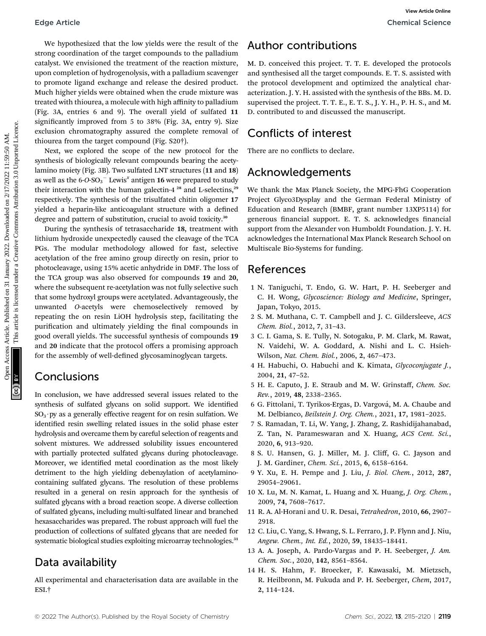We hypothesized that the low yields were the result of the strong coordination of the target compounds to the palladium catalyst. We envisioned the treatment of the reaction mixture, upon completion of hydrogenolysis, with a palladium scavenger to promote ligand exchange and release the desired product. Much higher yields were obtained when the crude mixture was treated with thiourea, a molecule with high affinity to palladium (Fig. 3A, entries 6 and 9). The overall yield of sulfated 11 significantly improved from 5 to 38% (Fig. 3A, entry 9). Size exclusion chromatography assured the complete removal of thiourea from the target compound (Fig. S20†).

Next, we explored the scope of the new protocol for the synthesis of biologically relevant compounds bearing the acetylamino moiety (Fig. 3B). Two sulfated LNT structures (11 and 18) as well as the 6-O-SO $_3^{-1}$  Lewis $^x$  antigen 16 were prepared to study their interaction with the human galectin-4 $28$  and L-selectins, $29$ respectively. The synthesis of the trisulfated chitin oligomer 17 yielded a heparin-like anticoagulant structure with a defined degree and pattern of substitution, crucial to avoid toxicity.<sup>30</sup>

During the synthesis of tetrasaccharide 18, treatment with lithium hydroxide unexpectedly caused the cleavage of the TCA PGs. The modular methodology allowed for fast, selective acetylation of the free amino group directly on resin, prior to photocleavage, using 15% acetic anhydride in DMF. The loss of the TCA group was also observed for compounds 19 and 20, where the subsequent re-acetylation was not fully selective such that some hydroxyl groups were acetylated. Advantageously, the unwanted O-acetyls were chemoselectively removed by repeating the on resin LiOH hydrolysis step, facilitating the purification and ultimately yielding the final compounds in good overall yields. The successful synthesis of compounds 19 and 20 indicate that the protocol offers a promising approach for the assembly of well-defined glycosaminoglycan targets. Edge Article<br>
We hypochecised that the low yields were the result of the **Althor contribution**<br>
strong area completion of the traperation of the publishem sovereger and you have been completed this project. T. I. d. develo

#### Conclusions

In conclusion, we have addressed several issues related to the synthesis of sulfated glycans on solid support. We identified  $SO<sub>3</sub>$  py as a generally effective reagent for on resin sulfation. We identified resin swelling related issues in the solid phase ester hydrolysis and overcame them by careful selection of reagents and solvent mixtures. We addressed solubility issues encountered with partially protected sulfated glycans during photocleavage. Moreover, we identified metal coordination as the most likely detriment to the high yielding debenzylation of acetylaminocontaining sulfated glycans. The resolution of these problems resulted in a general on resin approach for the synthesis of sulfated glycans with a broad reaction scope. A diverse collection of sulfated glycans, including multi-sulfated linear and branched hexasaccharides was prepared. The robust approach will fuel the production of collections of sulfated glycans that are needed for systematic biological studies exploiting microarray technologies.<sup>31</sup>

### Data availability

All experimental and characterisation data are available in the ESI.†

### Author contributions

M. D. conceived this project. T. T. E. developed the protocols and synthesised all the target compounds. E. T. S. assisted with the protocol development and optimized the analytical characterization. J. Y. H. assisted with the synthesis of the BBs. M. D. supervised the project. T. T. E., E. T. S., J. Y. H., P. H. S., and M. D. contributed to and discussed the manuscript.

## Conflicts of interest

There are no conflicts to declare.

#### Acknowledgements

We thank the Max Planck Society, the MPG-FhG Cooperation Project Glyco3Dysplay and the German Federal Ministry of Education and Research (BMBF, grant number 13XP5114) for generous financial support. E. T. S. acknowledges financial support from the Alexander von Humboldt Foundation. J. Y. H. acknowledges the International Max Planck Research School on Multiscale Bio-Systems for funding.

#### References

- 1 N. Taniguchi, T. Endo, G. W. Hart, P. H. Seeberger and C. H. Wong, Glycoscience: Biology and Medicine, Springer, Japan, Tokyo, 2015.
- 2 S. M. Muthana, C. T. Campbell and J. C. Gildersleeve, ACS Chem. Biol., 2012, 7, 31–43.
- 3 C. I. Gama, S. E. Tully, N. Sotogaku, P. M. Clark, M. Rawat, N. Vaidehi, W. A. Goddard, A. Nishi and L. C. Hsieh-Wilson, Nat. Chem. Biol., 2006, 2, 467–473.
- 4 H. Habuchi, O. Habuchi and K. Kimata, Glycoconjugate J., 2004, 21, 47–52.
- 5 H. E. Caputo, J. E. Straub and M. W. Grinstaff, Chem. Soc. Rev., 2019, 48, 2338–2365.
- 6 G. Fittolani, T. Tyrikos-Ergas, D. Vargová, M. A. Chaube and M. Delbianco, Beilstein J. Org. Chem., 2021, 17, 1981–2025.
- 7 S. Ramadan, T. Li, W. Yang, J. Zhang, Z. Rashidijahanabad, Z. Tan, N. Parameswaran and X. Huang, ACS Cent. Sci., 2020, 6, 913–920.
- 8 S. U. Hansen, G. J. Miller, M. J. Cliff, G. C. Jayson and J. M. Gardiner, Chem. Sci., 2015, 6, 6158–6164.
- 9 Y. Xu, E. H. Pempe and J. Liu, J. Biol. Chem., 2012, 287, 29054–29061.
- 10 X. Lu, M. N. Kamat, L. Huang and X. Huang, J. Org. Chem., 2009, 74, 7608–7617.
- 11 R. A. Al-Horani and U. R. Desai, Tetrahedron, 2010, 66, 2907– 2918.
- 12 C. Liu, C. Yang, S. Hwang, S. L. Ferraro, J. P. Flynn and J. Niu, Angew. Chem., Int. Ed., 2020, 59, 18435–18441.
- 13 A. A. Joseph, A. Pardo-Vargas and P. H. Seeberger, J. Am. Chem. Soc., 2020, 142, 8561–8564.
- 14 H. S. Hahm, F. Broecker, F. Kawasaki, M. Mietzsch, R. Heilbronn, M. Fukuda and P. H. Seeberger, Chem, 2017, 2, 114–124.